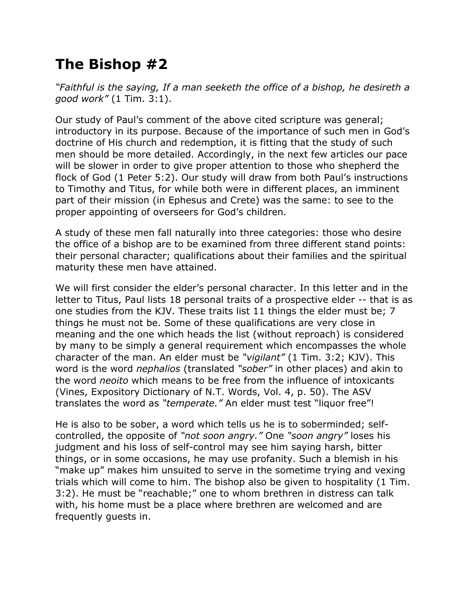## **The Bishop #2**

*"Faithful is the saying, If a man seeketh the office of a bishop, he desireth a good work"* (1 Tim. 3:1).

Our study of Paul's comment of the above cited scripture was general; introductory in its purpose. Because of the importance of such men in God's doctrine of His church and redemption, it is fitting that the study of such men should be more detailed. Accordingly, in the next few articles our pace will be slower in order to give proper attention to those who shepherd the flock of God (1 Peter 5:2). Our study will draw from both Paul's instructions to Timothy and Titus, for while both were in different places, an imminent part of their mission (in Ephesus and Crete) was the same: to see to the proper appointing of overseers for God's children.

A study of these men fall naturally into three categories: those who desire the office of a bishop are to be examined from three different stand points: their personal character; qualifications about their families and the spiritual maturity these men have attained.

We will first consider the elder's personal character. In this letter and in the letter to Titus, Paul lists 18 personal traits of a prospective elder -- that is as one studies from the KJV. These traits list 11 things the elder must be; 7 things he must not be. Some of these qualifications are very close in meaning and the one which heads the list (without reproach) is considered by many to be simply a general requirement which encompasses the whole character of the man. An elder must be *"vigilant"* (1 Tim. 3:2; KJV). This word is the word *nephalios* (translated *"sober"* in other places) and akin to the word *neoito* which means to be free from the influence of intoxicants (Vines, Expository Dictionary of N.T. Words, Vol. 4, p. 50). The ASV translates the word as *"temperate."* An elder must test "liquor free"!

He is also to be sober, a word which tells us he is to soberminded; selfcontrolled, the opposite of *"not soon angry."* One *"soon angry"* loses his judgment and his loss of self-control may see him saying harsh, bitter things, or in some occasions, he may use profanity. Such a blemish in his "make up" makes him unsuited to serve in the sometime trying and vexing trials which will come to him. The bishop also be given to hospitality (1 Tim. 3:2). He must be "reachable;" one to whom brethren in distress can talk with, his home must be a place where brethren are welcomed and are frequently guests in.